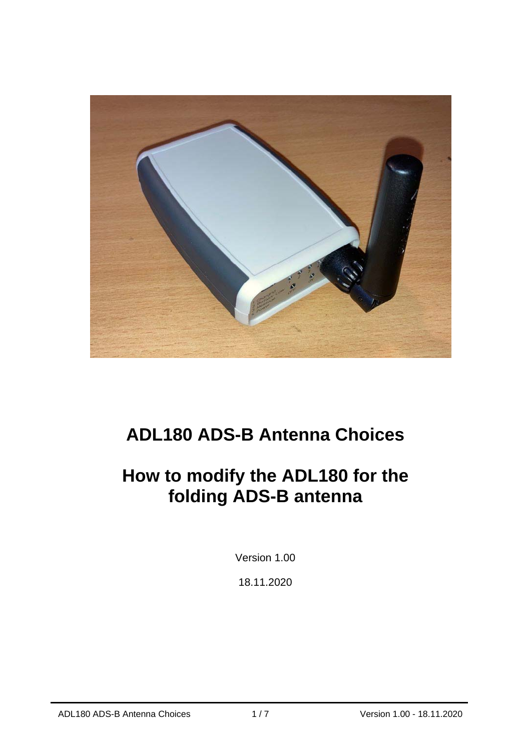

# **ADL180 ADS-B Antenna Choices**

## **How to modify the ADL180 for the folding ADS-B antenna**

Version 1.00

18.11.2020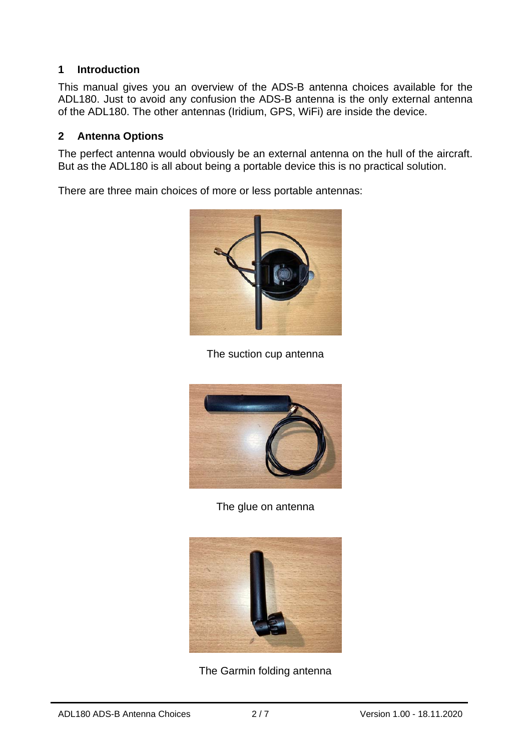#### **1 Introduction**

This manual gives you an overview of the ADS-B antenna choices available for the ADL180. Just to avoid any confusion the ADS-B antenna is the only external antenna of the ADL180. The other antennas (Iridium, GPS, WiFi) are inside the device.

#### **2 Antenna Options**

The perfect antenna would obviously be an external antenna on the hull of the aircraft. But as the ADL180 is all about being a portable device this is no practical solution.

There are three main choices of more or less portable antennas:



The suction cup antenna



The glue on antenna



The Garmin folding antenna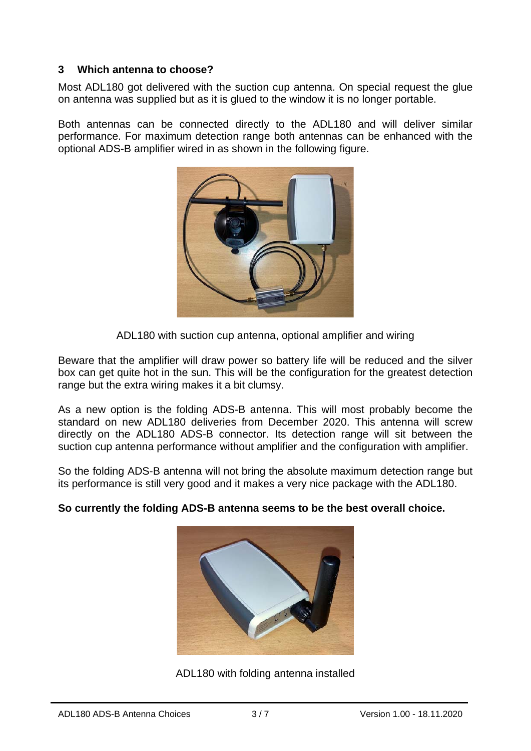#### **3 Which antenna to choose?**

Most ADL180 got delivered with the suction cup antenna. On special request the glue on antenna was supplied but as it is glued to the window it is no longer portable.

Both antennas can be connected directly to the ADL180 and will deliver similar performance. For maximum detection range both antennas can be enhanced with the optional ADS-B amplifier wired in as shown in the following figure.



ADL180 with suction cup antenna, optional amplifier and wiring

Beware that the amplifier will draw power so battery life will be reduced and the silver box can get quite hot in the sun. This will be the configuration for the greatest detection range but the extra wiring makes it a bit clumsy.

As a new option is the folding ADS-B antenna. This will most probably become the standard on new ADL180 deliveries from December 2020. This antenna will screw directly on the ADL180 ADS-B connector. Its detection range will sit between the suction cup antenna performance without amplifier and the configuration with amplifier.

So the folding ADS-B antenna will not bring the absolute maximum detection range but its performance is still very good and it makes a very nice package with the ADL180.



#### **So currently the folding ADS-B antenna seems to be the best overall choice.**

ADL180 with folding antenna installed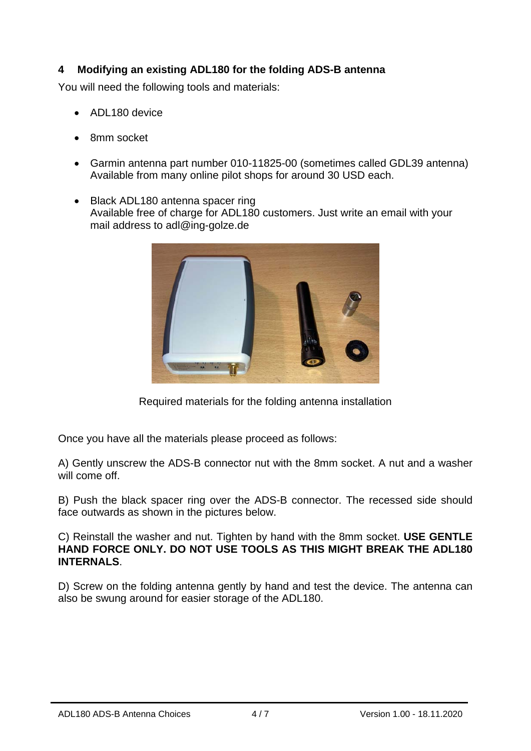### **4 Modifying an existing ADL180 for the folding ADS-B antenna**

You will need the following tools and materials:

- ADL180 device
- 8mm socket
- Garmin antenna part number 010-11825-00 (sometimes called GDL39 antenna) Available from many online pilot shops for around 30 USD each.
- Black ADL180 antenna spacer ring Available free of charge for ADL180 customers. Just write an email with your mail address to adl@ing-golze.de



Required materials for the folding antenna installation

Once you have all the materials please proceed as follows:

A) Gently unscrew the ADS-B connector nut with the 8mm socket. A nut and a washer will come off.

B) Push the black spacer ring over the ADS-B connector. The recessed side should face outwards as shown in the pictures below.

C) Reinstall the washer and nut. Tighten by hand with the 8mm socket. **USE GENTLE HAND FORCE ONLY. DO NOT USE TOOLS AS THIS MIGHT BREAK THE ADL180 INTERNALS**.

D) Screw on the folding antenna gently by hand and test the device. The antenna can also be swung around for easier storage of the ADL180.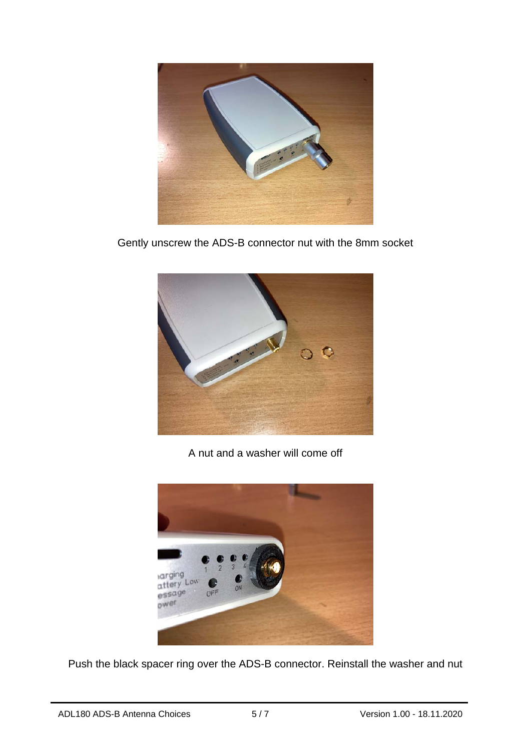

Gently unscrew the ADS-B connector nut with the 8mm socket



A nut and a washer will come off



Push the black spacer ring over the ADS-B connector. Reinstall the washer and nut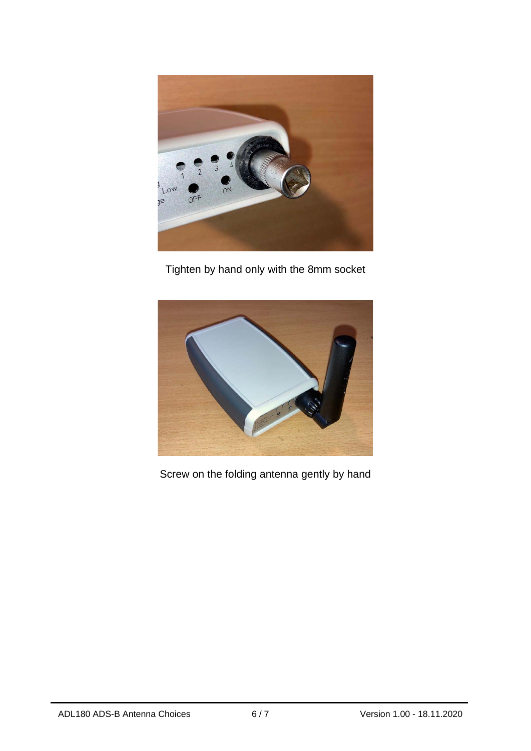

Tighten by hand only with the 8mm socket



Screw on the folding antenna gently by hand